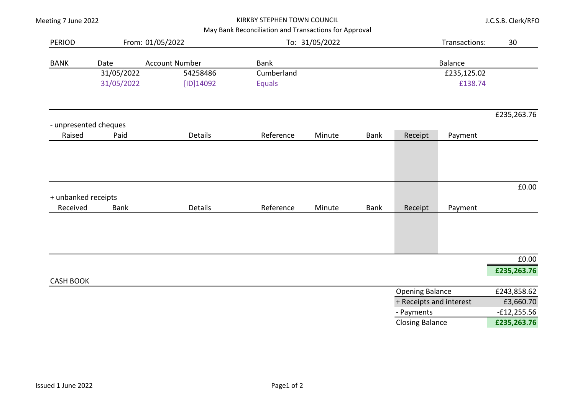|  |  | Meeting 7 June 2022 |
|--|--|---------------------|
|--|--|---------------------|

### KIRKBY STEPHEN TOWN COUNCIL

J.C.S.B. Clerk/RFO

## May Bank Reconciliation and Transactions for Approval

| <b>PERIOD</b>                   |                               | From: 01/05/2022 |               | To: 31/05/2022          |                        |                        | Transactions:  | 30            |
|---------------------------------|-------------------------------|------------------|---------------|-------------------------|------------------------|------------------------|----------------|---------------|
| <b>BANK</b>                     | <b>Account Number</b><br>Date |                  | <b>Bank</b>   |                         |                        |                        | <b>Balance</b> |               |
|                                 | 31/05/2022                    | 54258486         | Cumberland    |                         |                        |                        | £235,125.02    |               |
|                                 | 31/05/2022                    | [ID]14092        | <b>Equals</b> |                         |                        |                        | £138.74        |               |
|                                 |                               |                  |               |                         |                        |                        |                | £235,263.76   |
|                                 | - unpresented cheques         |                  |               |                         |                        |                        |                |               |
| Raised                          | Paid                          | <b>Details</b>   | Reference     | Minute                  | <b>Bank</b>            | Receipt                | Payment        |               |
|                                 |                               |                  |               |                         |                        |                        |                |               |
|                                 |                               |                  |               |                         |                        |                        |                |               |
|                                 |                               |                  |               |                         |                        |                        |                | £0.00         |
| + unbanked receipts<br>Received | <b>Bank</b>                   | <b>Details</b>   | Reference     | Minute                  | <b>Bank</b>            | Receipt                | Payment        |               |
|                                 |                               |                  |               |                         |                        |                        |                |               |
|                                 |                               |                  |               |                         |                        |                        |                |               |
|                                 |                               |                  |               |                         |                        |                        |                |               |
|                                 |                               |                  |               |                         |                        |                        |                | £0.00         |
|                                 |                               |                  |               |                         |                        |                        |                | £235,263.76   |
| <b>CASH BOOK</b>                |                               |                  |               |                         | <b>Opening Balance</b> |                        | £243,858.62    |               |
|                                 |                               |                  |               | + Receipts and interest |                        |                        |                | £3,660.70     |
|                                 |                               |                  |               |                         |                        | - Payments             |                | $-£12,255.56$ |
|                                 |                               |                  |               |                         |                        | <b>Closing Balance</b> |                | £235,263.76   |